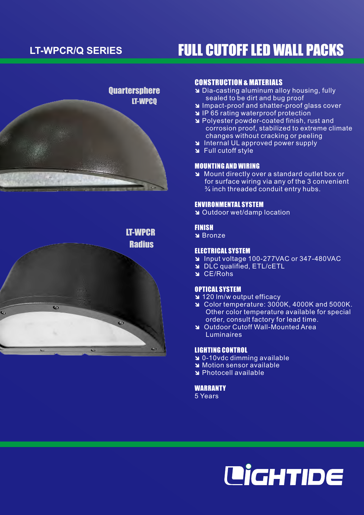



# CONSTRUCTION & MATERIALS

- **a** Dia-casting aluminum alloy housing, fully sealed to be dirt and bug proof
- **N** Impact-proof and shatter-proof glass cover
- **N** IP 65 rating waterproof protection
- î Polyester powder-coated finish, rust and corrosion proof, stabilized to extreme climate changes without cracking or peeling
- **N** Internal UL approved power supply
- $\blacktriangle$  Full cutoff style

#### MOUNTING AND WIRING

î Mount directly over a standard outlet box or for surface wiring via any of the 3 convenient ¾ inch threaded conduit entry hubs.

#### ENVIRONMENTAL SYSTEM

**N** Outdoor wet/damp location

#### FINISH

**N** Bronze

### ELECTRICAL SYSTEM

- î Input voltage 100-277VAC or 347-480VAC
- **N** DLC qualified, ETL/cETL
- $C<sub>E</sub>$  CE/Rohs

#### OPTICAL SYSTEM

- î 120 lm/w output efficacy
- î Color temperature: 3000K, 4000K and 5000K. Other color temperature available for special order, consult factory for lead time.
- î Outdoor Cutoff Wall-Mounted Area Luminaires

#### LIGHTING CONTROL

- **a** 0-10vdc dimming available
- î Motion sensor available
- î Photocell available

#### **WARRANTY**

5 Years



# LT-WPCR/Q SERIES **FULL CUTOFF LED WALL PACKS**